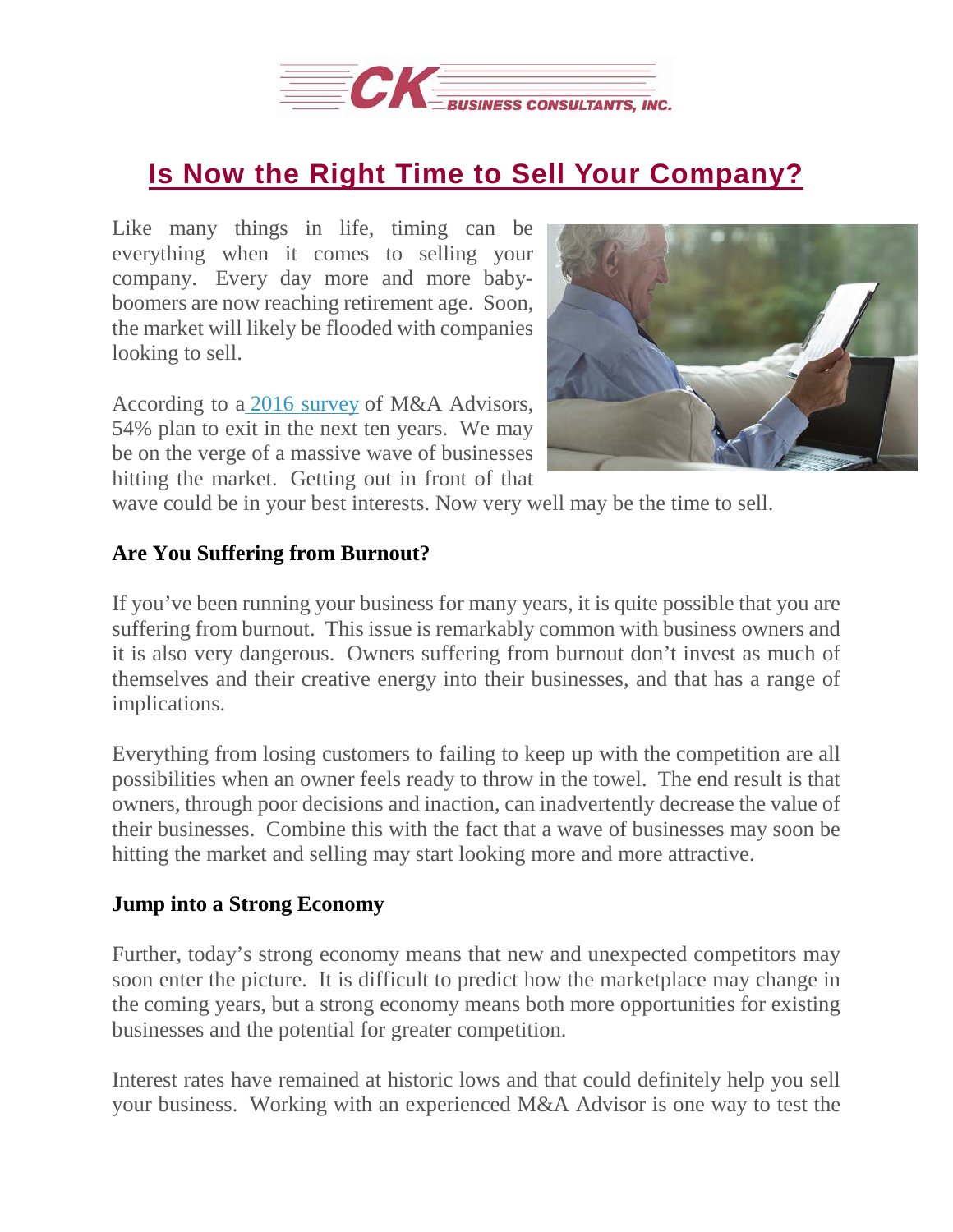

## **Is Now the Right Time to Sell Your [Company?](https://deal-studio.com/is-now-the-right-time-to-sell-your-company/)**

Like many things in life, timing can be everything when it comes to selling your company. Every day more and more babyboomers are now reaching retirement age. Soon, the market will likely be flooded with companies looking to sell.

According to a 2016 [survey](https://www.forbes.com/sites/forbesagencycouncil/2017/09/29/baby-boomers-are-selling-their-businesses-to-millennial-entrepreneurs-and-its-a-brilliant-idea/#72426f8e3181) of M&A Advisors, 54% plan to exit in the next ten years. We may be on the verge of a massive wave of businesses hitting the market. Getting out in front of that



wave could be in your best interests. Now very well may be the time to sell.

## **Are You Suffering from Burnout?**

If you've been running your business for many years, it is quite possible that you are suffering from burnout. This issue is remarkably common with business owners and it is also very dangerous. Owners suffering from burnout don't invest as much of themselves and their creative energy into their businesses, and that has a range of implications.

Everything from losing customers to failing to keep up with the competition are all possibilities when an owner feels ready to throw in the towel. The end result is that owners, through poor decisions and inaction, can inadvertently decrease the value of their businesses. Combine this with the fact that a wave of businesses may soon be hitting the market and selling may start looking more and more attractive.

## **Jump into a Strong Economy**

Further, today's strong economy means that new and unexpected competitors may soon enter the picture. It is difficult to predict how the marketplace may change in the coming years, but a strong economy means both more opportunities for existing businesses and the potential for greater competition.

Interest rates have remained at historic lows and that could definitely help you sell your business. Working with an experienced M&A Advisor is one way to test the